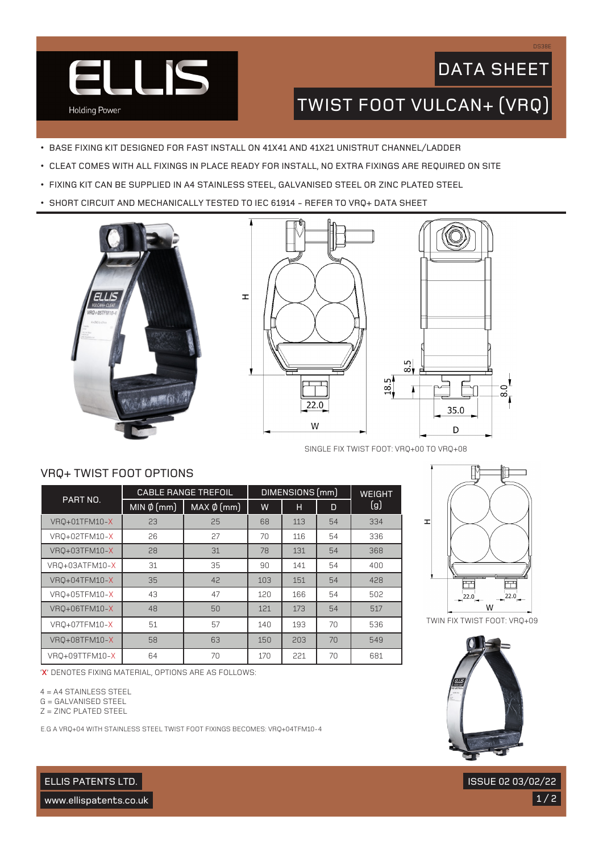

## DATA SHEET

DS38E

### TWIST FOOT VULCAN+ (VRQ)

- BASE FIXING KIT DESIGNED FOR FAST INSTALL ON 41X41 AND 41X21 UNISTRUT CHANNEL/LADDER
- CLEAT COMES WITH ALL FIXINGS IN PLACE READY FOR INSTALL, NO EXTRA FIXINGS ARE REQUIRED ON SITE
- FIXING KIT CAN BE SUPPLIED IN A4 STAINLESS STEEL, GALVANISED STEEL OR ZINC PLATED STEEL
- SHORT CIRCUIT AND MECHANICALLY TESTED TO IEC 61914 REFER TO VRQ+ DATA SHEET



VRQ+ TWIST FOOT OPTIONS





SINGLE FIX TWIST FOOT: VRQ+00 TO VRQ+08

#### PART NO. CABLE RANGE TREFOIL | DIMENSIONS (mm) | WEIGHT  $MIN \& (mm) \mid MAX \& (mm) \mid W \mid H \mid D \mid (9)$ VRQ+01TFM10-X 23 4 25 68 113 54 334 VRQ+02TFM10-X 26 27 70 116 54 336 VRQ+03TFM10-X 28 31 78 131 54 368 VRQ+03ATFM10-X 31 31 35 90 141 54 400 VRQ+04TFM10-X 35 42 103 151 54 428 VRQ+05TFM10-X 43 47 120 166 54 502 VRQ+06TFM10-X 48 48 50 121 173 54 517 VRQ+07TFM10-X 51 51 57 140 193 70 536 VRQ+08TFM10-X 58 63 150 203 70 549 VRQ+09TTFM10-X | 64 | 70 | 170 | 221 | 70 | 681



TWIN FIX TWIST FOOT: VRQ+09

'**X**' DENOTES FIXING MATERIAL, OPTIONS ARE AS FOLLOWS:

4 = A4 STAINLESS STEEL

G = GALVANISED STEEL

Z = ZINC PLATED STEEL

E.G A VRQ+04 WITH STAINLESS STEEL TWIST FOOT FIXINGS BECOMES: VRQ+04TFM10-4



 $1/2$ 

ISSUE 02 03/02/22

ELLIS PATENTS LTD.

www.ellispatents.co.uk